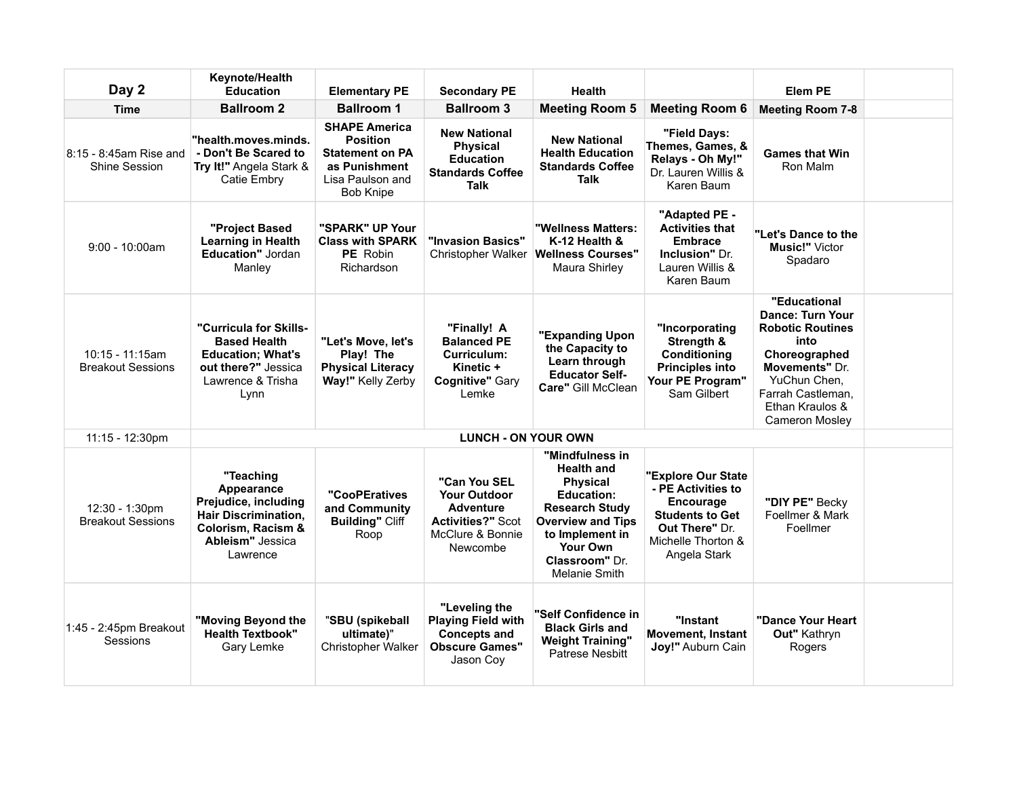| Day 2                                       | Keynote/Health<br><b>Education</b>                                                                                                   | <b>Elementary PE</b>                                                                                                       | <b>Secondary PE</b>                                                                                                 | <b>Health</b>                                                                                                                                                                                                            |                                                                                                                                                | <b>Elem PE</b>                                                                                                                                                                          |  |
|---------------------------------------------|--------------------------------------------------------------------------------------------------------------------------------------|----------------------------------------------------------------------------------------------------------------------------|---------------------------------------------------------------------------------------------------------------------|--------------------------------------------------------------------------------------------------------------------------------------------------------------------------------------------------------------------------|------------------------------------------------------------------------------------------------------------------------------------------------|-----------------------------------------------------------------------------------------------------------------------------------------------------------------------------------------|--|
| <b>Time</b>                                 | <b>Ballroom 2</b>                                                                                                                    | <b>Ballroom 1</b>                                                                                                          | <b>Ballroom 3</b>                                                                                                   | <b>Meeting Room 5</b>                                                                                                                                                                                                    | <b>Meeting Room 6</b>                                                                                                                          | <b>Meeting Room 7-8</b>                                                                                                                                                                 |  |
| 8:15 - 8:45am Rise and<br>Shine Session     | "health.moves.minds.<br>- Don't Be Scared to<br>Try It!" Angela Stark &<br>Catie Embry                                               | <b>SHAPE America</b><br><b>Position</b><br><b>Statement on PA</b><br>as Punishment<br>Lisa Paulson and<br><b>Bob Knipe</b> | <b>New National</b><br><b>Physical</b><br><b>Education</b><br><b>Standards Coffee</b><br>Talk                       | <b>New National</b><br><b>Health Education</b><br><b>Standards Coffee</b><br>Talk                                                                                                                                        | "Field Days:<br>Themes, Games, &<br>Relays - Oh My!"<br>Dr. Lauren Willis &<br>Karen Baum                                                      | <b>Games that Win</b><br>Ron Malm                                                                                                                                                       |  |
| $9:00 - 10:00$ am                           | "Project Based<br><b>Learning in Health</b><br>Education" Jordan<br>Manley                                                           | "SPARK" UP Your<br><b>Class with SPARK</b><br>PE Robin<br>Richardson                                                       | "Invasion Basics"<br>Christopher Walker                                                                             | "Wellness Matters:<br>K-12 Health &<br><b>Wellness Courses"</b><br>Maura Shirley                                                                                                                                         | "Adapted PE -<br><b>Activities that</b><br><b>Embrace</b><br><b>Inclusion</b> " Dr.<br>Lauren Willis &<br>Karen Baum                           | "Let's Dance to the<br><b>Music!" Victor</b><br>Spadaro                                                                                                                                 |  |
| 10:15 - 11:15am<br><b>Breakout Sessions</b> | "Curricula for Skills-<br><b>Based Health</b><br><b>Education: What's</b><br>out there?" Jessica<br>Lawrence & Trisha<br>Lynn        | "Let's Move, let's<br>Play! The<br><b>Physical Literacy</b><br>Way!" Kelly Zerby                                           | "Finally! A<br><b>Balanced PE</b><br>Curriculum:<br>Kinetic +<br><b>Cognitive" Gary</b><br>Lemke                    | "Expanding Upon<br>the Capacity to<br>Learn through<br><b>Educator Self-</b><br>Care" Gill McClean                                                                                                                       | "Incorporating<br>Strength &<br><b>Conditioning</b><br><b>Principles into</b><br>Your PE Program"<br>Sam Gilbert                               | "Educational<br>Dance: Turn Your<br><b>Robotic Routines</b><br>into<br>Choreographed<br><b>Movements"</b> Dr.<br>YuChun Chen,<br>Farrah Castleman.<br>Ethan Kraulos &<br>Cameron Mosley |  |
| 11:15 - 12:30pm                             |                                                                                                                                      |                                                                                                                            | <b>LUNCH - ON YOUR OWN</b>                                                                                          |                                                                                                                                                                                                                          |                                                                                                                                                |                                                                                                                                                                                         |  |
| 12:30 - 1:30pm<br><b>Breakout Sessions</b>  | "Teaching<br>Appearance<br>Prejudice, including<br><b>Hair Discrimination,</b><br>Colorism, Racism &<br>Ableism" Jessica<br>Lawrence | "CooPEratives<br>and Community<br><b>Building" Cliff</b><br>Roop                                                           | "Can You SEL<br><b>Your Outdoor</b><br><b>Adventure</b><br><b>Activities?" Scot</b><br>McClure & Bonnie<br>Newcombe | "Mindfulness in<br><b>Health and</b><br><b>Physical</b><br><b>Education:</b><br><b>Research Study</b><br><b>Overview and Tips</b><br>to Implement in<br><b>Your Own</b><br><b>Classroom"</b> Dr.<br><b>Melanie Smith</b> | "Explore Our State<br>- PE Activities to<br><b>Encourage</b><br><b>Students to Get</b><br>Out There" Dr.<br>Michelle Thorton &<br>Angela Stark | "DIY PE" Becky<br>Foellmer & Mark<br>Foellmer                                                                                                                                           |  |
| 1:45 - 2:45pm Breakout<br>Sessions          | "Moving Beyond the<br><b>Health Textbook"</b><br>Gary Lemke                                                                          | "SBU (spikeball<br>ultimate)"<br><b>Christopher Walker</b>                                                                 | "Leveling the<br><b>Playing Field with</b><br><b>Concepts and</b><br><b>Obscure Games"</b><br>Jason Coy             | "Self Confidence in<br><b>Black Girls and</b><br><b>Weight Training"</b><br><b>Patrese Nesbitt</b>                                                                                                                       | "Instant<br><b>Movement, Instant</b><br>Joy!" Auburn Cain                                                                                      | "Dance Your Heart<br>Out" Kathryn<br>Rogers                                                                                                                                             |  |